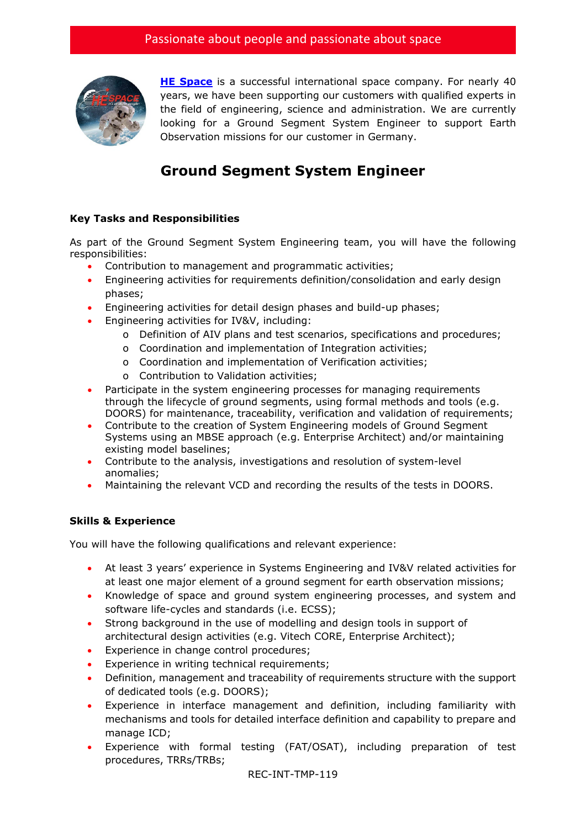

**[HE Space](http://www.hespace.com/)** is a successful international space company. For nearly 40 years, we have been supporting our customers with qualified experts in the field of engineering, science and administration. We are currently looking for a Ground Segment System Engineer to support Earth Observation missions for our customer in Germany.

## **Ground Segment System Engineer**

## **Key Tasks and Responsibilities**

As part of the Ground Segment System Engineering team, you will have the following responsibilities:

- Contribution to management and programmatic activities;
- Engineering activities for requirements definition/consolidation and early design phases;
- Engineering activities for detail design phases and build-up phases;
- Engineering activities for IV&V, including:
	- o Definition of AIV plans and test scenarios, specifications and procedures;
	- o Coordination and implementation of Integration activities;
	- o Coordination and implementation of Verification activities;
	- o Contribution to Validation activities;
- Participate in the system engineering processes for managing requirements through the lifecycle of ground segments, using formal methods and tools (e.g. DOORS) for maintenance, traceability, verification and validation of requirements;
- Contribute to the creation of System Engineering models of Ground Segment Systems using an MBSE approach (e.g. Enterprise Architect) and/or maintaining existing model baselines;
- Contribute to the analysis, investigations and resolution of system-level anomalies;
- Maintaining the relevant VCD and recording the results of the tests in DOORS.

## **Skills & Experience**

You will have the following qualifications and relevant experience:

- At least 3 years' experience in Systems Engineering and IV&V related activities for at least one major element of a ground segment for earth observation missions;
- Knowledge of space and ground system engineering processes, and system and software life-cycles and standards (i.e. ECSS);
- Strong background in the use of modelling and design tools in support of architectural design activities (e.g. Vitech CORE, Enterprise Architect);
- Experience in change control procedures;
- Experience in writing technical requirements;
- Definition, management and traceability of requirements structure with the support of dedicated tools (e.g. DOORS);
- Experience in interface management and definition, including familiarity with mechanisms and tools for detailed interface definition and capability to prepare and manage ICD;
- Experience with formal testing (FAT/OSAT), including preparation of test procedures, TRRs/TRBs;